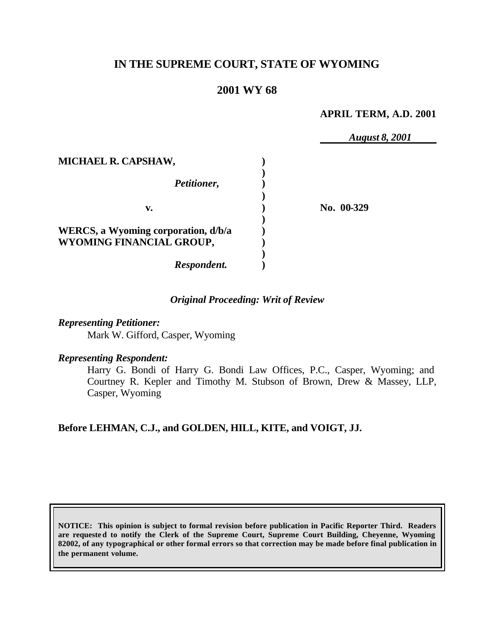# **IN THE SUPREME COURT, STATE OF WYOMING**

## **2001 WY 68**

### **APRIL TERM, A.D. 2001**

*August 8, 2001* **MICHAEL R. CAPSHAW, ) )** *Petitioner,* **) ) v. ) No. 00-329 ) WERCS, a Wyoming corporation, d/b/a ) WYOMING FINANCIAL GROUP, ) )** *Respondent.* **)**

### *Original Proceeding: Writ of Review*

*Representing Petitioner:*

Mark W. Gifford, Casper, Wyoming

#### *Representing Respondent:*

Harry G. Bondi of Harry G. Bondi Law Offices, P.C., Casper, Wyoming; and Courtney R. Kepler and Timothy M. Stubson of Brown, Drew & Massey, LLP, Casper, Wyoming

## **Before LEHMAN, C.J., and GOLDEN, HILL, KITE, and VOIGT, JJ.**

**NOTICE: This opinion is subject to formal revision before publication in Pacific Reporter Third. Readers are requeste d to notify the Clerk of the Supreme Court, Supreme Court Building, Cheyenne, Wyoming 82002, of any typographical or other formal errors so that correction may be made before final publication in the permanent volume.**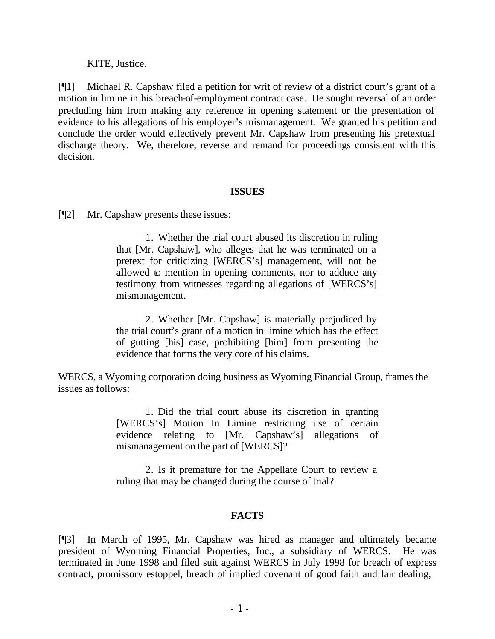KITE, Justice.

[¶1] Michael R. Capshaw filed a petition for writ of review of a district court's grant of a motion in limine in his breach-of-employment contract case. He sought reversal of an order precluding him from making any reference in opening statement or the presentation of evidence to his allegations of his employer's mismanagement. We granted his petition and conclude the order would effectively prevent Mr. Capshaw from presenting his pretextual discharge theory. We, therefore, reverse and remand for proceedings consistent with this decision.

### **ISSUES**

[¶2] Mr. Capshaw presents these issues:

1. Whether the trial court abused its discretion in ruling that [Mr. Capshaw], who alleges that he was terminated on a pretext for criticizing [WERCS's] management, will not be allowed to mention in opening comments, nor to adduce any testimony from witnesses regarding allegations of [WERCS's] mismanagement.

2. Whether [Mr. Capshaw] is materially prejudiced by the trial court's grant of a motion in limine which has the effect of gutting [his] case, prohibiting [him] from presenting the evidence that forms the very core of his claims.

WERCS, a Wyoming corporation doing business as Wyoming Financial Group, frames the issues as follows:

> 1. Did the trial court abuse its discretion in granting [WERCS's] Motion In Limine restricting use of certain evidence relating to [Mr. Capshaw's] allegations of mismanagement on the part of [WERCS]?

> 2. Is it premature for the Appellate Court to review a ruling that may be changed during the course of trial?

## **FACTS**

[¶3] In March of 1995, Mr. Capshaw was hired as manager and ultimately became president of Wyoming Financial Properties, Inc., a subsidiary of WERCS. He was terminated in June 1998 and filed suit against WERCS in July 1998 for breach of express contract, promissory estoppel, breach of implied covenant of good faith and fair dealing,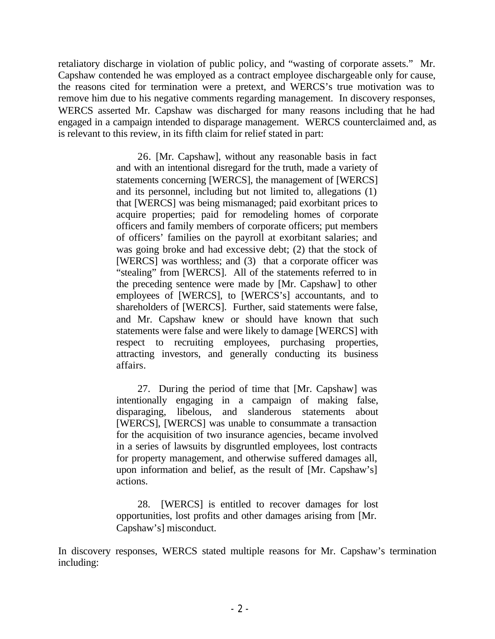retaliatory discharge in violation of public policy, and "wasting of corporate assets." Mr. Capshaw contended he was employed as a contract employee dischargeable only for cause, the reasons cited for termination were a pretext, and WERCS's true motivation was to remove him due to his negative comments regarding management. In discovery responses, WERCS asserted Mr. Capshaw was discharged for many reasons including that he had engaged in a campaign intended to disparage management. WERCS counterclaimed and, as is relevant to this review, in its fifth claim for relief stated in part:

> 26. [Mr. Capshaw], without any reasonable basis in fact and with an intentional disregard for the truth, made a variety of statements concerning [WERCS], the management of [WERCS] and its personnel, including but not limited to, allegations (1) that [WERCS] was being mismanaged; paid exorbitant prices to acquire properties; paid for remodeling homes of corporate officers and family members of corporate officers; put members of officers' families on the payroll at exorbitant salaries; and was going broke and had excessive debt; (2) that the stock of [WERCS] was worthless; and (3) that a corporate officer was "stealing" from [WERCS]. All of the statements referred to in the preceding sentence were made by [Mr. Capshaw] to other employees of [WERCS], to [WERCS's] accountants, and to shareholders of [WERCS]. Further, said statements were false, and Mr. Capshaw knew or should have known that such statements were false and were likely to damage [WERCS] with respect to recruiting employees, purchasing properties, attracting investors, and generally conducting its business affairs.

> 27. During the period of time that [Mr. Capshaw] was intentionally engaging in a campaign of making false, disparaging, libelous, and slanderous statements about [WERCS], [WERCS] was unable to consummate a transaction for the acquisition of two insurance agencies, became involved in a series of lawsuits by disgruntled employees, lost contracts for property management, and otherwise suffered damages all, upon information and belief, as the result of [Mr. Capshaw's] actions.

> 28. [WERCS] is entitled to recover damages for lost opportunities, lost profits and other damages arising from [Mr. Capshaw's] misconduct.

In discovery responses, WERCS stated multiple reasons for Mr. Capshaw's termination including: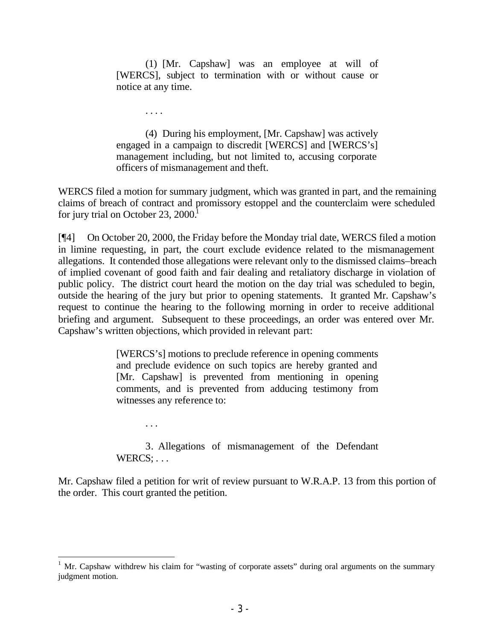(1) [Mr. Capshaw] was an employee at will of [WERCS], subject to termination with or without cause or notice at any time.

. . . .

. . .

(4) During his employment, [Mr. Capshaw] was actively engaged in a campaign to discredit [WERCS] and [WERCS's] management including, but not limited to, accusing corporate officers of mismanagement and theft.

WERCS filed a motion for summary judgment, which was granted in part, and the remaining claims of breach of contract and promissory estoppel and the counterclaim were scheduled for jury trial on October 23,  $2000<sup>1</sup>$ 

[¶4] On October 20, 2000, the Friday before the Monday trial date, WERCS filed a motion in limine requesting, in part, the court exclude evidence related to the mismanagement allegations. It contended those allegations were relevant only to the dismissed claims–breach of implied covenant of good faith and fair dealing and retaliatory discharge in violation of public policy. The district court heard the motion on the day trial was scheduled to begin, outside the hearing of the jury but prior to opening statements. It granted Mr. Capshaw's request to continue the hearing to the following morning in order to receive additional briefing and argument. Subsequent to these proceedings, an order was entered over Mr. Capshaw's written objections, which provided in relevant part:

> [WERCS's] motions to preclude reference in opening comments and preclude evidence on such topics are hereby granted and [Mr. Capshaw] is prevented from mentioning in opening comments, and is prevented from adducing testimony from witnesses any reference to:

> 3. Allegations of mismanagement of the Defendant WERCS: ...

Mr. Capshaw filed a petition for writ of review pursuant to W.R.A.P. 13 from this portion of the order. This court granted the petition.

 $1$  Mr. Capshaw withdrew his claim for "wasting of corporate assets" during oral arguments on the summary judgment motion.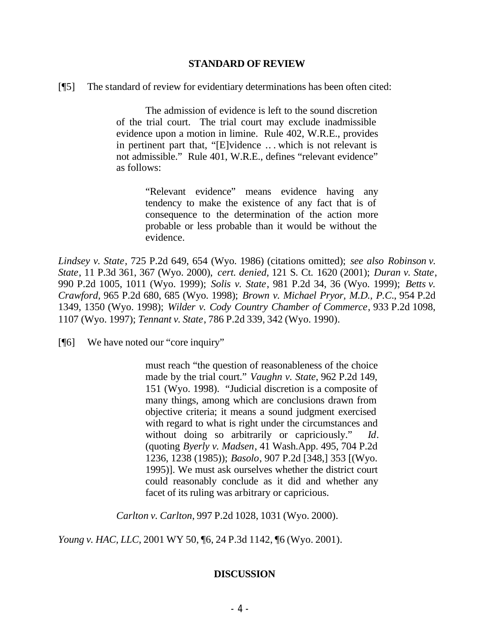#### **STANDARD OF REVIEW**

[¶5] The standard of review for evidentiary determinations has been often cited:

The admission of evidence is left to the sound discretion of the trial court. The trial court may exclude inadmissible evidence upon a motion in limine. Rule 402, W.R.E., provides in pertinent part that, "[E]vidence .. . which is not relevant is not admissible." Rule 401, W.R.E., defines "relevant evidence" as follows:

> "Relevant evidence" means evidence having any tendency to make the existence of any fact that is of consequence to the determination of the action more probable or less probable than it would be without the evidence.

*Lindsey v. State*, 725 P.2d 649, 654 (Wyo. 1986) (citations omitted); *see also Robinson v. State*, 11 P.3d 361, 367 (Wyo. 2000), *cert. denied,* 121 S. Ct. 1620 (2001); *Duran v. State*, 990 P.2d 1005, 1011 (Wyo. 1999); *Solis v. State*, 981 P.2d 34, 36 (Wyo. 1999); *Betts v. Crawford,* 965 P.2d 680, 685 (Wyo. 1998); *Brown v. Michael Pryor, M.D., P.C*., 954 P.2d 1349, 1350 (Wyo. 1998); *Wilder v. Cody Country Chamber of Commerce*, 933 P.2d 1098, 1107 (Wyo. 1997); *Tennant v. State*, 786 P.2d 339, 342 (Wyo. 1990).

[¶6] We have noted our "core inquiry"

must reach "the question of reasonableness of the choice made by the trial court." *Vaughn v. State*, 962 P.2d 149, 151 (Wyo. 1998). "Judicial discretion is a composite of many things, among which are conclusions drawn from objective criteria; it means a sound judgment exercised with regard to what is right under the circumstances and without doing so arbitrarily or capriciously." *Id*. (quoting *Byerly v. Madsen*, 41 Wash.App. 495, 704 P.2d 1236, 1238 (1985)); *Basolo*, 907 P.2d [348,] 353 [(Wyo. 1995)]. We must ask ourselves whether the district court could reasonably conclude as it did and whether any facet of its ruling was arbitrary or capricious.

*Carlton v. Carlton*, 997 P.2d 1028, 1031 (Wyo. 2000).

*Young v. HAC, LLC*, 2001 WY 50, ¶6, 24 P.3d 1142, ¶6 (Wyo. 2001).

#### **DISCUSSION**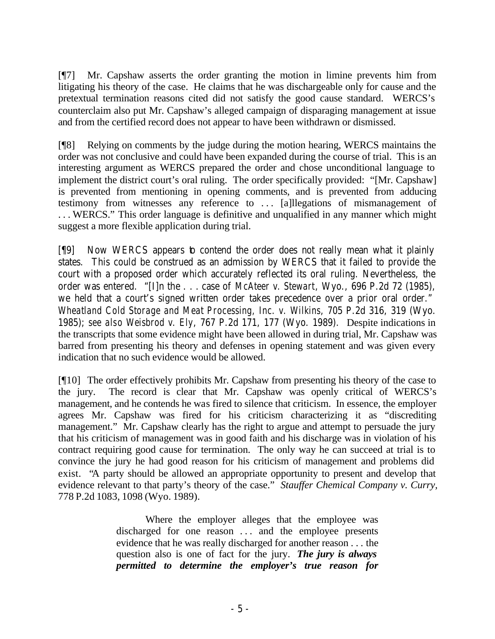[¶7] Mr. Capshaw asserts the order granting the motion in limine prevents him from litigating his theory of the case. He claims that he was dischargeable only for cause and the pretextual termination reasons cited did not satisfy the good cause standard. WERCS's counterclaim also put Mr. Capshaw's alleged campaign of disparaging management at issue and from the certified record does not appear to have been withdrawn or dismissed.

[¶8] Relying on comments by the judge during the motion hearing, WERCS maintains the order was not conclusive and could have been expanded during the course of trial. This is an interesting argument as WERCS prepared the order and chose unconditional language to implement the district court's oral ruling. The order specifically provided: "[Mr. Capshaw] is prevented from mentioning in opening comments, and is prevented from adducing testimony from witnesses any reference to ... [a]llegations of mismanagement of . . . WERCS." This order language is definitive and unqualified in any manner which might suggest a more flexible application during trial.

[¶9] Now WERCS appears to contend the order does not really mean what it plainly states. This could be construed as an admission by WERCS that it failed to provide the court with a proposed order which accurately reflected its oral ruling. Nevertheless, the order was entered. "[I]n the . . . case of *McAteer v. Stewart*, Wyo., 696 P.2d 72 (1985), we held that a court's signed written order takes precedence over a prior oral order." *Wheatland Cold Storage and Meat Processing, Inc. v. Wilkins*, 705 P.2d 316, 319 (Wyo. 1985); *see also Weisbrod v. Ely*, 767 P.2d 171, 177 (Wyo. 1989). Despite indications in the transcripts that some evidence might have been allowed in during trial, Mr. Capshaw was barred from presenting his theory and defenses in opening statement and was given every indication that no such evidence would be allowed.

[¶10] The order effectively prohibits Mr. Capshaw from presenting his theory of the case to the jury. The record is clear that Mr. Capshaw was openly critical of WERCS's management, and he contends he was fired to silence that criticism. In essence, the employer agrees Mr. Capshaw was fired for his criticism characterizing it as "discrediting management." Mr. Capshaw clearly has the right to argue and attempt to persuade the jury that his criticism of management was in good faith and his discharge was in violation of his contract requiring good cause for termination. The only way he can succeed at trial is to convince the jury he had good reason for his criticism of management and problems did exist. "A party should be allowed an appropriate opportunity to present and develop that evidence relevant to that party's theory of the case." *Stauffer Chemical Company v. Curry,* 778 P.2d 1083, 1098 (Wyo. 1989).

> Where the employer alleges that the employee was discharged for one reason ... and the employee presents evidence that he was really discharged for another reason . . . the question also is one of fact for the jury. *The jury is always permitted to determine the employer's true reason for*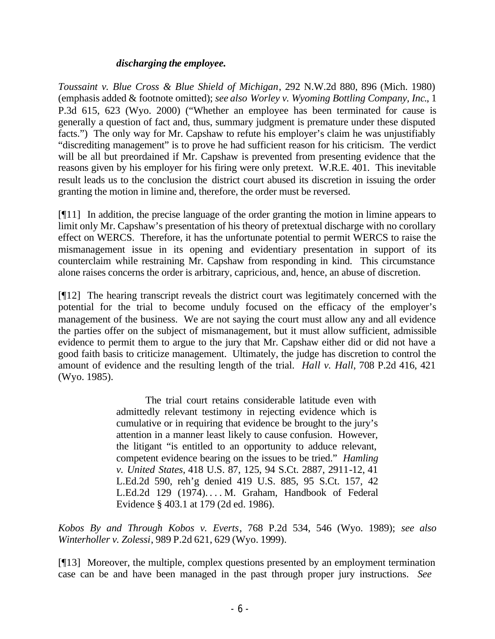### *discharging the employee.*

*Toussaint v. Blue Cross & Blue Shield of Michigan*, 292 N.W.2d 880, 896 (Mich. 1980) (emphasis added & footnote omitted); *see also Worley v. Wyoming Bottling Company, Inc*., 1 P.3d 615, 623 (Wyo. 2000) ("Whether an employee has been terminated for cause is generally a question of fact and, thus, summary judgment is premature under these disputed facts.") The only way for Mr. Capshaw to refute his employer's claim he was unjustifiably "discrediting management" is to prove he had sufficient reason for his criticism. The verdict will be all but preordained if Mr. Capshaw is prevented from presenting evidence that the reasons given by his employer for his firing were only pretext. W.R.E. 401. This inevitable result leads us to the conclusion the district court abused its discretion in issuing the order granting the motion in limine and, therefore, the order must be reversed.

[¶11] In addition, the precise language of the order granting the motion in limine appears to limit only Mr. Capshaw's presentation of his theory of pretextual discharge with no corollary effect on WERCS. Therefore, it has the unfortunate potential to permit WERCS to raise the mismanagement issue in its opening and evidentiary presentation in support of its counterclaim while restraining Mr. Capshaw from responding in kind. This circumstance alone raises concerns the order is arbitrary, capricious, and, hence, an abuse of discretion.

[¶12] The hearing transcript reveals the district court was legitimately concerned with the potential for the trial to become unduly focused on the efficacy of the employer's management of the business. We are not saying the court must allow any and all evidence the parties offer on the subject of mismanagement, but it must allow sufficient, admissible evidence to permit them to argue to the jury that Mr. Capshaw either did or did not have a good faith basis to criticize management. Ultimately, the judge has discretion to control the amount of evidence and the resulting length of the trial. *Hall v. Hall*, 708 P.2d 416, 421 (Wyo. 1985).

> The trial court retains considerable latitude even with admittedly relevant testimony in rejecting evidence which is cumulative or in requiring that evidence be brought to the jury's attention in a manner least likely to cause confusion. However, the litigant "is entitled to an opportunity to adduce relevant, competent evidence bearing on the issues to be tried." *Hamling v. United States,* 418 U.S. 87, 125, 94 S.Ct. 2887, 2911-12, 41 L.Ed.2d 590, reh'g denied 419 U.S. 885, 95 S.Ct. 157, 42 L.Ed.2d 129 (1974). . . . M. Graham, Handbook of Federal Evidence § 403.1 at 179 (2d ed. 1986).

*Kobos By and Through Kobos v. Everts*, 768 P.2d 534, 546 (Wyo. 1989); *see also Winterholler v. Zolessi*, 989 P.2d 621, 629 (Wyo. 1999).

[¶13] Moreover, the multiple, complex questions presented by an employment termination case can be and have been managed in the past through proper jury instructions. *See*